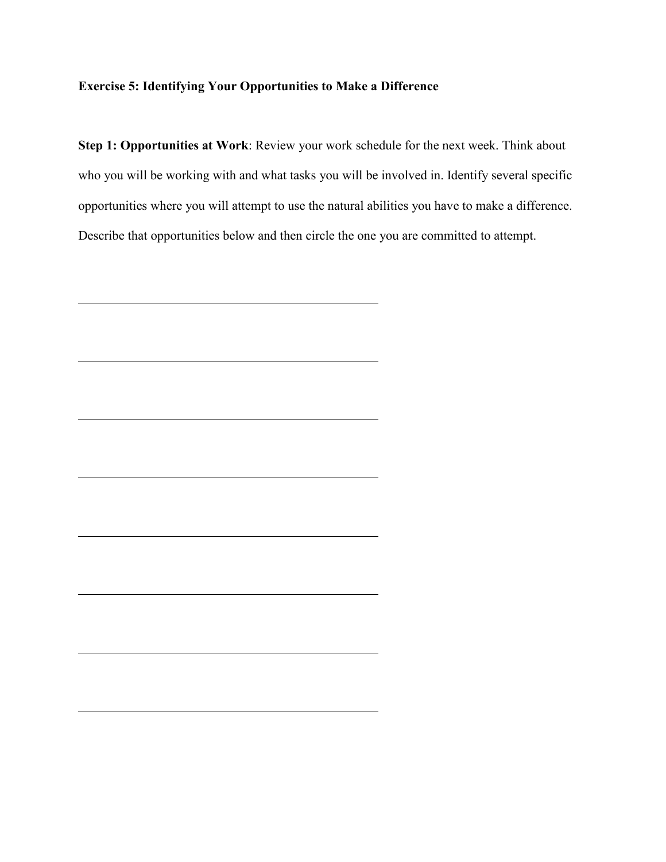## **Exercise 5: Identifying Your Opportunities to Make a Difference**

**Step 1: Opportunities at Work**: Review your work schedule for the next week. Think about who you will be working with and what tasks you will be involved in. Identify several specific opportunities where you will attempt to use the natural abilities you have to make a difference. Describe that opportunities below and then circle the one you are committed to attempt.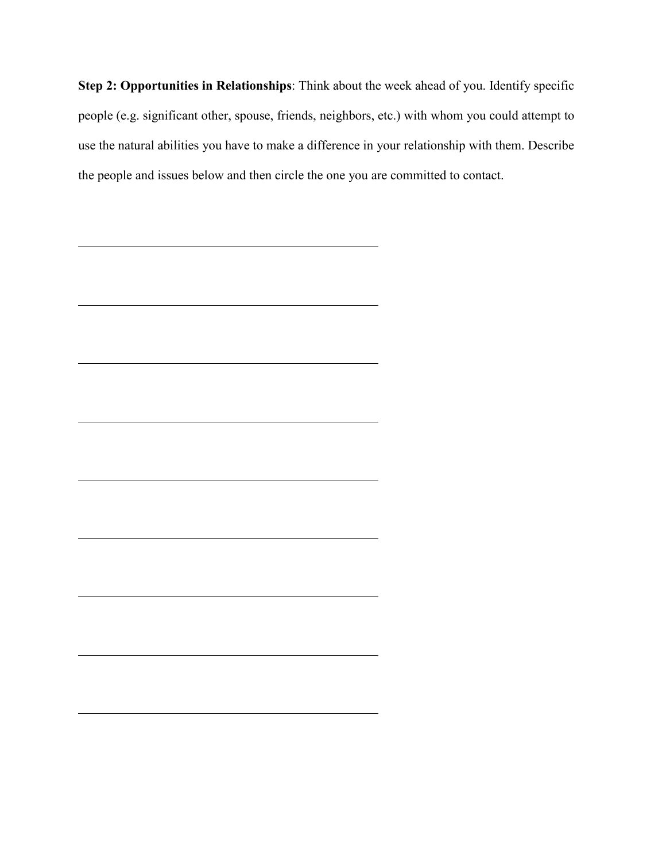**Step 2: Opportunities in Relationships**: Think about the week ahead of you. Identify specific people (e.g. significant other, spouse, friends, neighbors, etc.) with whom you could attempt to use the natural abilities you have to make a difference in your relationship with them. Describe the people and issues below and then circle the one you are committed to contact.

<u> 1989 - Johann Barn, mars ann an t-Amhain Aonaich an t-Aonaich an t-Aonaich an t-Aonaich an t-Aonaich an t-Aon</u>

<u> 1989 - Johann Barbara, martin amerikan basar dan berasal dalam basa dalam basar dalam basar dalam basa dalam</u>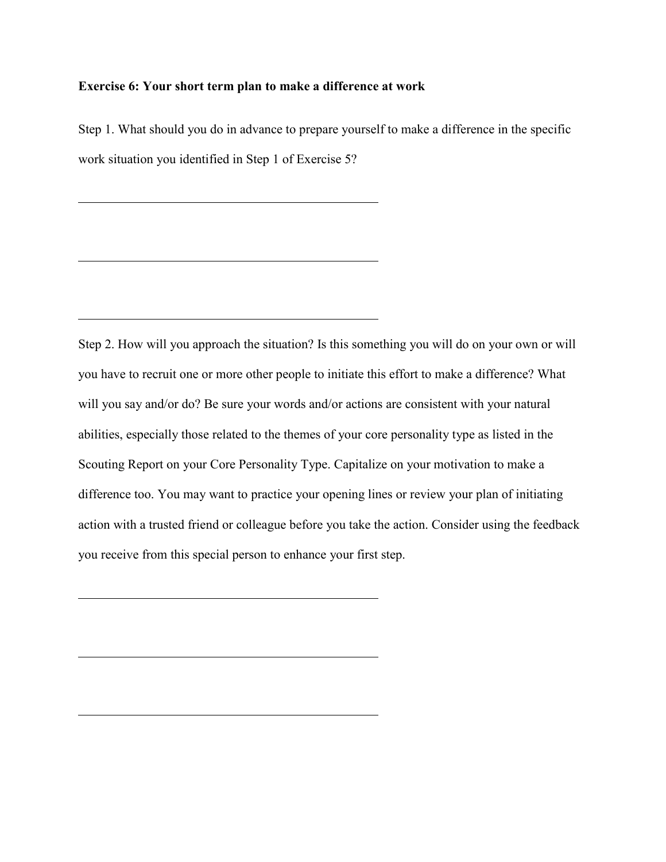#### **Exercise 6: Your short term plan to make a difference at work**

Step 1. What should you do in advance to prepare yourself to make a difference in the specific work situation you identified in Step 1 of Exercise 5?

Step 2. How will you approach the situation? Is this something you will do on your own or will you have to recruit one or more other people to initiate this effort to make a difference? What will you say and/or do? Be sure your words and/or actions are consistent with your natural abilities, especially those related to the themes of your core personality type as listed in the Scouting Report on your Core Personality Type. Capitalize on your motivation to make a difference too. You may want to practice your opening lines or review your plan of initiating action with a trusted friend or colleague before you take the action. Consider using the feedback you receive from this special person to enhance your first step.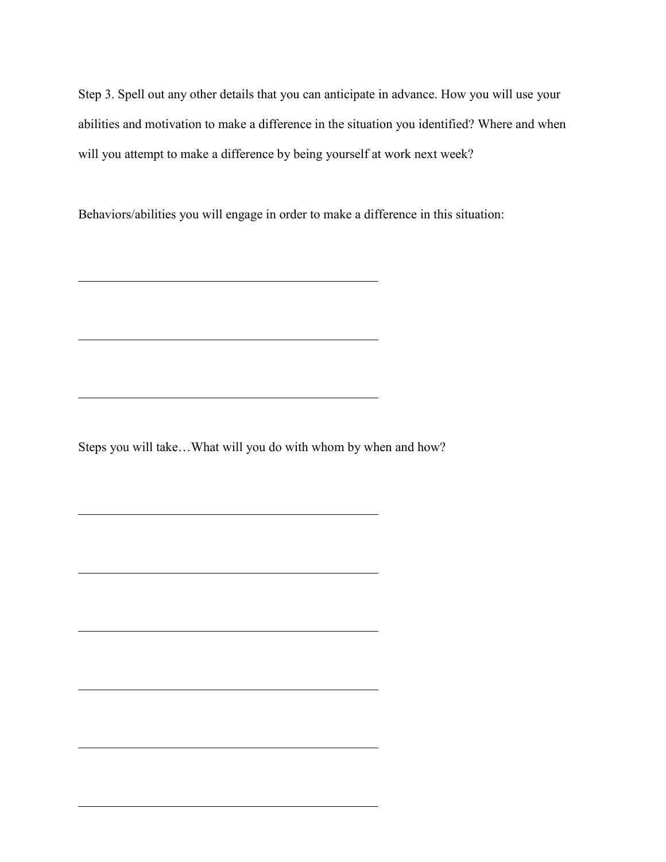Step 3. Spell out any other details that you can anticipate in advance. How you will use your abilities and motivation to make a difference in the situation you identified? Where and when will you attempt to make a difference by being yourself at work next week?

Behaviors/abilities you will engage in order to make a difference in this situation:

Steps you will take…What will you do with whom by when and how?

<u> 1989 - Johann Stein, mars an de Britannich (b. 1989)</u>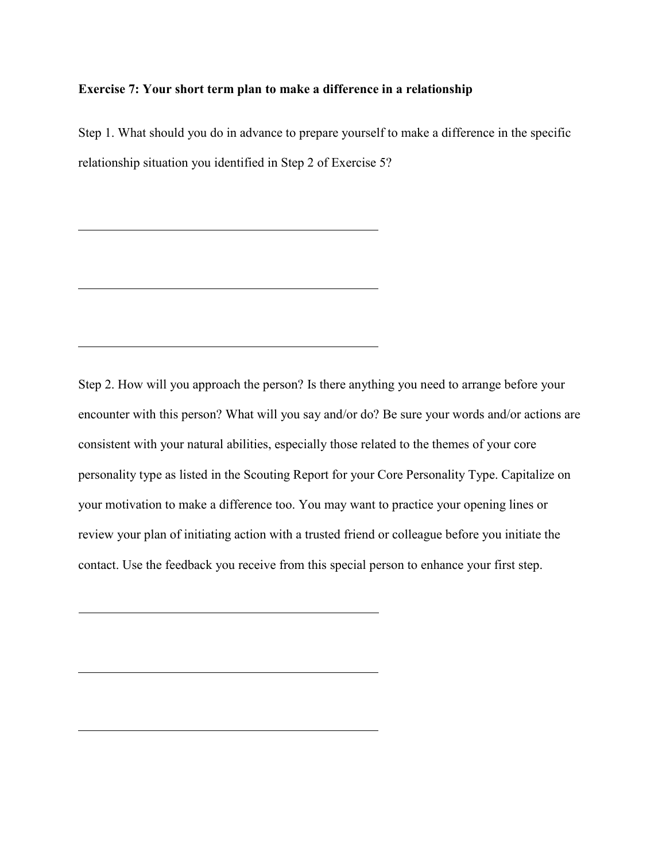#### **Exercise 7: Your short term plan to make a difference in a relationship**

Step 1. What should you do in advance to prepare yourself to make a difference in the specific relationship situation you identified in Step 2 of Exercise 5?

Step 2. How will you approach the person? Is there anything you need to arrange before your encounter with this person? What will you say and/or do? Be sure your words and/or actions are consistent with your natural abilities, especially those related to the themes of your core personality type as listed in the Scouting Report for your Core Personality Type. Capitalize on your motivation to make a difference too. You may want to practice your opening lines or review your plan of initiating action with a trusted friend or colleague before you initiate the contact. Use the feedback you receive from this special person to enhance your first step.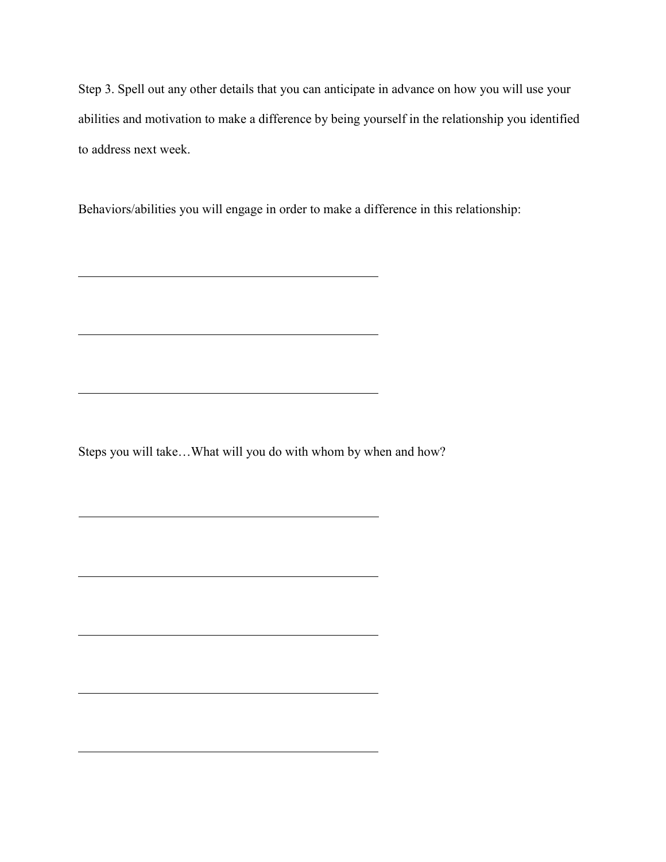Step 3. Spell out any other details that you can anticipate in advance on how you will use your abilities and motivation to make a difference by being yourself in the relationship you identified to address next week.

Behaviors/abilities you will engage in order to make a difference in this relationship:

Steps you will take…What will you do with whom by when and how?

<u> 1980 - Johann Barn, fransk politik (f. 1980)</u>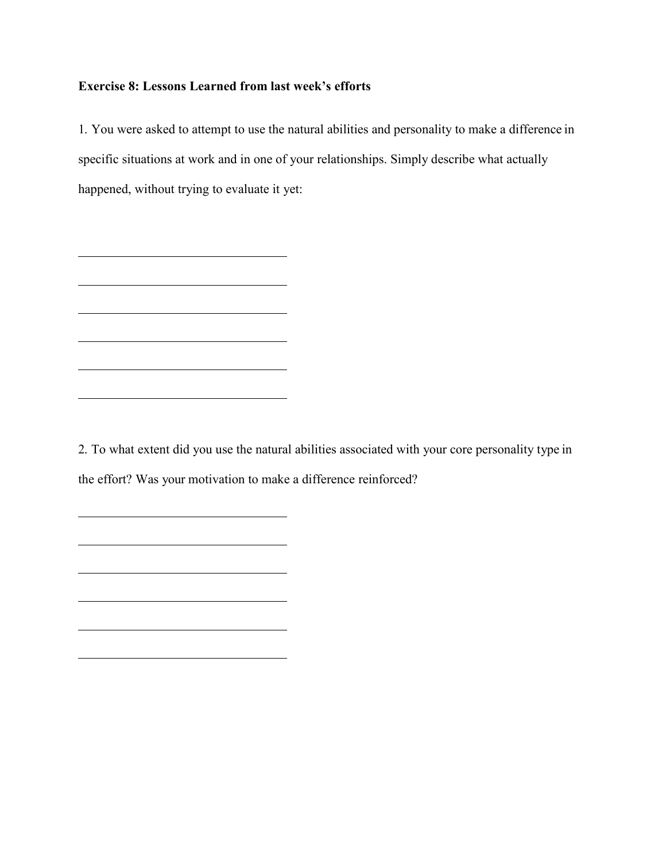### **Exercise 8: Lessons Learned from last week's efforts**

<u> 1989 - Johann Barbara, martin amerikan basal dan berasal dan berasal dalam basal dalam basal dalam basal dala</u>

<u> 1980 - Johann Barbara, martxa alemaniar amerikan basar da a</u>

1. You were asked to attempt to use the natural abilities and personality to make a difference in specific situations at work and in one of your relationships. Simply describe what actually happened, without trying to evaluate it yet:

2. To what extent did you use the natural abilities associated with your core personality type in the effort? Was your motivation to make a difference reinforced?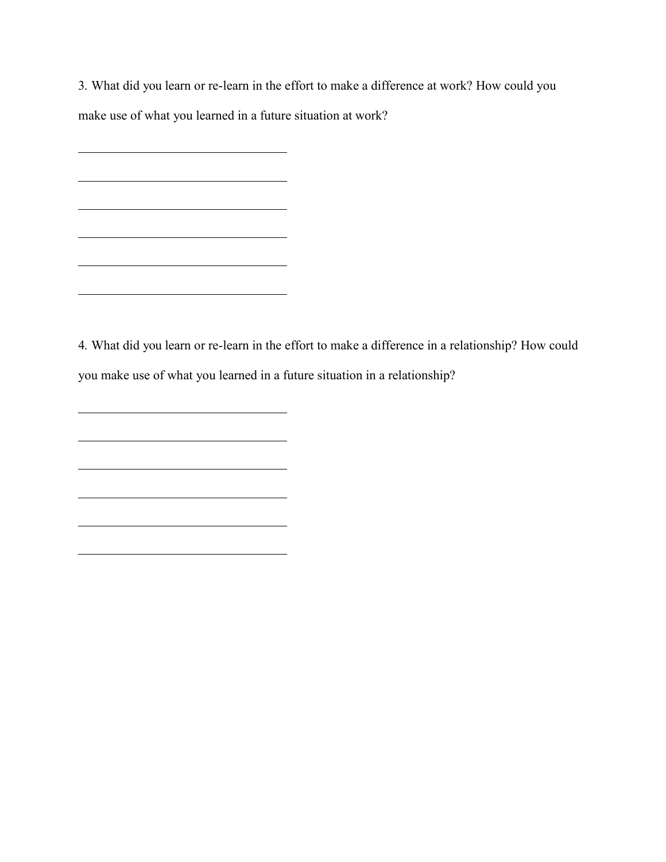3. What did you learn or re-learn in the effort to make a difference at work? How could you make use of what you learned in a future situation at work?

<u> 1989 - Johann Barn, amerikansk politiker (</u>

<u> 1989 - Johann Barn, mars eta bainar eta baina eta baina eta baina eta baina eta baina eta baina eta baina e</u>

4. What did you learn or re-learn in the effort to make a difference in a relationship? How could you make use of what you learned in a future situation in a relationship?